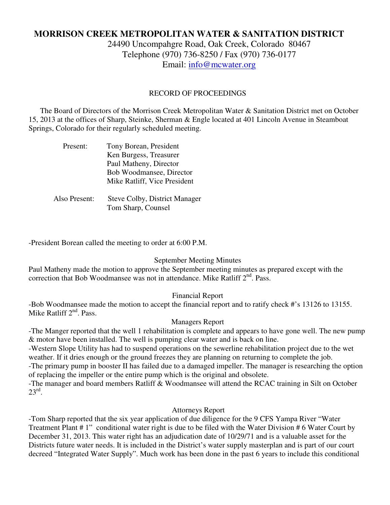# **MORRISON CREEK METROPOLITAN WATER & SANITATION DISTRICT**

24490 Uncompahgre Road, Oak Creek, Colorado 80467 Telephone (970) 736-8250 / Fax (970) 736-0177 Email: info@mcwater.org

#### RECORD OF PROCEEDINGS

 The Board of Directors of the Morrison Creek Metropolitan Water & Sanitation District met on October 15, 2013 at the offices of Sharp, Steinke, Sherman & Engle located at 401 Lincoln Avenue in Steamboat Springs, Colorado for their regularly scheduled meeting.

| Present:      | Tony Borean, President               |
|---------------|--------------------------------------|
|               | Ken Burgess, Treasurer               |
|               | Paul Matheny, Director               |
|               | Bob Woodmansee, Director             |
|               | Mike Ratliff, Vice President         |
|               |                                      |
| Also Present: | <b>Steve Colby, District Manager</b> |
|               | Tom Sharp, Counsel                   |

-President Borean called the meeting to order at 6:00 P.M.

#### September Meeting Minutes

Paul Matheny made the motion to approve the September meeting minutes as prepared except with the correction that Bob Woodmansee was not in attendance. Mike Ratliff 2<sup>nd</sup>. Pass.

# Financial Report

-Bob Woodmansee made the motion to accept the financial report and to ratify check #'s 13126 to 13155. Mike Ratliff  $2<sup>nd</sup>$ . Pass.

#### Managers Report

-The Manger reported that the well 1 rehabilitation is complete and appears to have gone well. The new pump & motor have been installed. The well is pumping clear water and is back on line.

-Western Slope Utility has had to suspend operations on the sewerline rehabilitation project due to the wet weather. If it dries enough or the ground freezes they are planning on returning to complete the job.

-The primary pump in booster II has failed due to a damaged impeller. The manager is researching the option of replacing the impeller or the entire pump which is the original and obsolete.

-The manager and board members Ratliff & Woodmansee will attend the RCAC training in Silt on October  $23^{\text{rd}}$ .

### Attorneys Report

-Tom Sharp reported that the six year application of due diligence for the 9 CFS Yampa River "Water Treatment Plant # 1" conditional water right is due to be filed with the Water Division # 6 Water Court by December 31, 2013. This water right has an adjudication date of 10/29/71 and is a valuable asset for the Districts future water needs. It is included in the District's water supply masterplan and is part of our court decreed "Integrated Water Supply". Much work has been done in the past 6 years to include this conditional